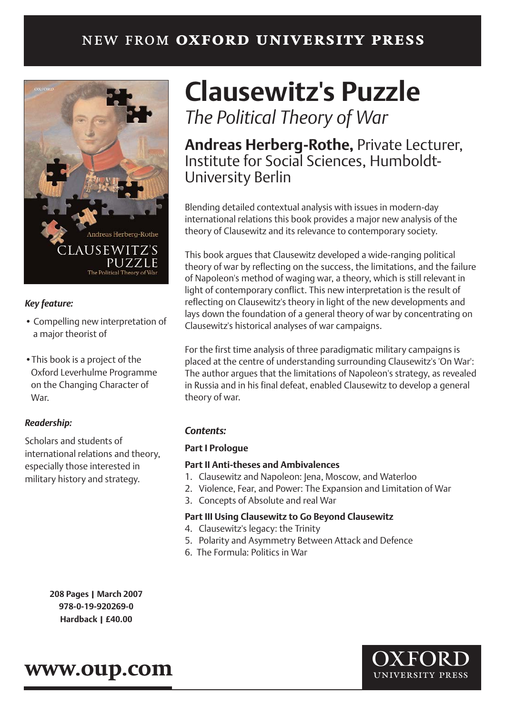## new from **oxford university press**



#### *Key feature:*

- Compelling new interpretation of a major theorist of
- •This book is a project of the Oxford Leverhulme Programme on the Changing Character of War.

### *Readership:*

Scholars and students of international relations and theory, especially those interested in military history and strategy.

# **Clausewitz's Puzzle**

*The Political Theory of War* 

## **Andreas Herberg-Rothe,** Private Lecturer, Institute for Social Sciences, Humboldt-University Berlin

Blending detailed contextual analysis with issues in modern-day international relations this book provides a major new analysis of the theory of Clausewitz and its relevance to contemporary society.

This book argues that Clausewitz developed a wide-ranging political theory of war by reflecting on the success, the limitations, and the failure of Napoleon's method of waging war, a theory, which is still relevant in light of contemporary conflict. This new interpretation is the result of reflecting on Clausewitz's theory in light of the new developments and lays down the foundation of a general theory of war by concentrating on Clausewitz's historical analyses of war campaigns.

For the first time analysis of three paradigmatic military campaigns is placed at the centre of understanding surrounding Clausewitz's 'On War': The author argues that the limitations of Napoleon's strategy, as revealed in Russia and in his final defeat, enabled Clausewitz to develop a general theory of war.

### *Contents:*

#### **Part I Prologue**

#### **Part II Anti-theses and Ambivalences**

- 1. Clausewitz and Napoleon: Jena, Moscow, and Waterloo
- 2. Violence, Fear, and Power: The Expansion and Limitation of War
- 3. Concepts of Absolute and real War

#### **Part III Using Clausewitz to Go Beyond Clausewitz**

- 4. Clausewitz's legacy: the Trinity
- 5. Polarity and Asymmetry Between Attack and Defence
- 6. The Formula: Politics in War

**208 Pages | March 2007 978-0-19-920269-0 Hardback | £40.00**

## **www.oup.com**